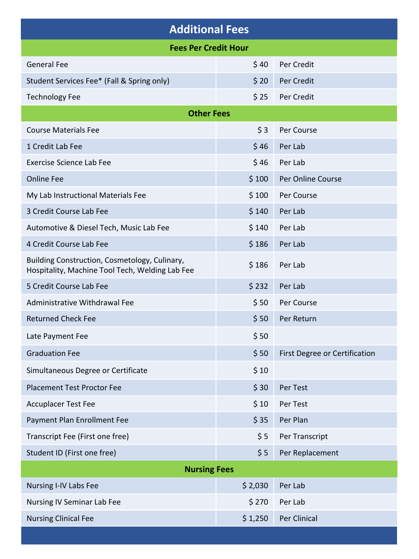| <b>Additional Fees</b>                                                                           |         |                               |
|--------------------------------------------------------------------------------------------------|---------|-------------------------------|
| <b>Fees Per Credit Hour</b>                                                                      |         |                               |
| <b>General Fee</b>                                                                               | \$40    | Per Credit                    |
| Student Services Fee* (Fall & Spring only)                                                       | \$20    | Per Credit                    |
| <b>Technology Fee</b>                                                                            | \$25    | Per Credit                    |
| <b>Other Fees</b>                                                                                |         |                               |
| <b>Course Materials Fee</b>                                                                      | \$3     | Per Course                    |
| 1 Credit Lab Fee                                                                                 | \$46    | Per Lab                       |
| <b>Exercise Science Lab Fee</b>                                                                  | \$46    | Per Lab                       |
| <b>Online Fee</b>                                                                                | \$100   | Per Online Course             |
| My Lab Instructional Materials Fee                                                               | \$100   | Per Course                    |
| 3 Credit Course Lab Fee                                                                          | \$140   | Per Lab                       |
| Automotive & Diesel Tech, Music Lab Fee                                                          | \$140   | Per Lab                       |
| 4 Credit Course Lab Fee                                                                          | \$186   | Per Lab                       |
| Building Construction, Cosmetology, Culinary,<br>Hospitality, Machine Tool Tech, Welding Lab Fee | \$186   | Per Lab                       |
| 5 Credit Course Lab Fee                                                                          | \$232   | Per Lab                       |
| Administrative Withdrawal Fee                                                                    | \$50    | Per Course                    |
| <b>Returned Check Fee</b>                                                                        | \$50    | Per Return                    |
| Late Payment Fee                                                                                 | \$50    |                               |
| <b>Graduation Fee</b>                                                                            | \$50    | First Degree or Certification |
| Simultaneous Degree or Certificate                                                               | \$10    |                               |
| <b>Placement Test Proctor Fee</b>                                                                | \$30    | Per Test                      |
| <b>Accuplacer Test Fee</b>                                                                       | \$10    | Per Test                      |
| Payment Plan Enrollment Fee                                                                      | \$35    | Per Plan                      |
| Transcript Fee (First one free)                                                                  | \$5     | Per Transcript                |
| Student ID (First one free)                                                                      | \$5     | Per Replacement               |
| <b>Nursing Fees</b>                                                                              |         |                               |
| Nursing I-IV Labs Fee                                                                            | \$2,030 | Per Lab                       |
| Nursing IV Seminar Lab Fee                                                                       | \$270   | Per Lab                       |
| <b>Nursing Clinical Fee</b>                                                                      | \$1,250 | Per Clinical                  |